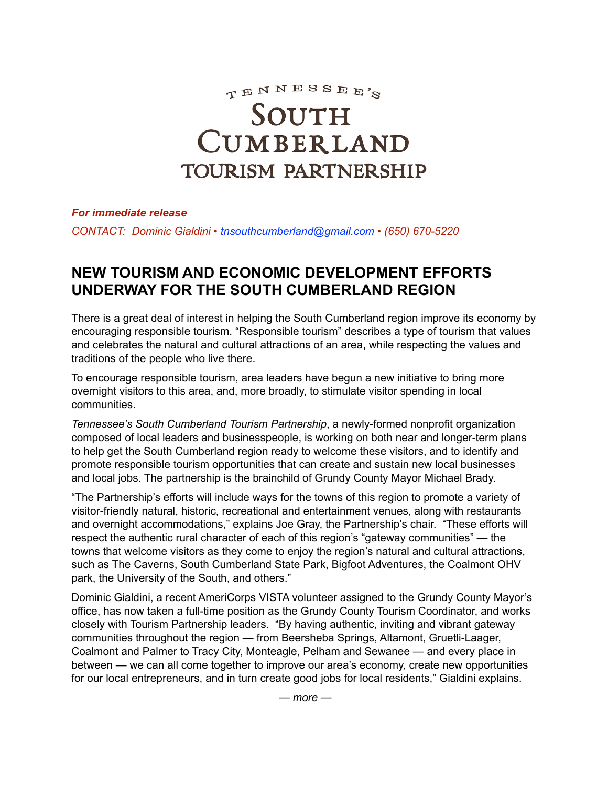TENNESSEE'S

## SOUTH CUMBERLAND **TOURISM PARTNERSHIP**

## *For immediate release*

*CONTACT: Dominic Gialdini • [tnsouthcumberland@gmail.com](mailto:tnsouthcumberland@gmail.com) • (650) 670-5220*

## **NEW TOURISM AND ECONOMIC DEVELOPMENT EFFORTS UNDERWAY FOR THE SOUTH CUMBERLAND REGION**

There is a great deal of interest in helping the South Cumberland region improve its economy by encouraging responsible tourism. "Responsible tourism" describes a type of tourism that values and celebrates the natural and cultural attractions of an area, while respecting the values and traditions of the people who live there.

To encourage responsible tourism, area leaders have begun a new initiative to bring more overnight visitors to this area, and, more broadly, to stimulate visitor spending in local communities.

*Tennessee's South Cumberland Tourism Partnership*, a newly-formed nonprofit organization composed of local leaders and businesspeople, is working on both near and longer-term plans to help get the South Cumberland region ready to welcome these visitors, and to identify and promote responsible tourism opportunities that can create and sustain new local businesses and local jobs. The partnership is the brainchild of Grundy County Mayor Michael Brady.

"The Partnership's efforts will include ways for the towns of this region to promote a variety of visitor-friendly natural, historic, recreational and entertainment venues, along with restaurants and overnight accommodations," explains Joe Gray, the Partnership's chair. "These efforts will respect the authentic rural character of each of this region's "gateway communities" — the towns that welcome visitors as they come to enjoy the region's natural and cultural attractions, such as The Caverns, South Cumberland State Park, Bigfoot Adventures, the Coalmont OHV park, the University of the South, and others."

Dominic Gialdini, a recent AmeriCorps VISTA volunteer assigned to the Grundy County Mayor's office, has now taken a full-time position as the Grundy County Tourism Coordinator, and works closely with Tourism Partnership leaders. "By having authentic, inviting and vibrant gateway communities throughout the region — from Beersheba Springs, Altamont, Gruetli-Laager, Coalmont and Palmer to Tracy City, Monteagle, Pelham and Sewanee — and every place in between — we can all come together to improve our area's economy, create new opportunities for our local entrepreneurs, and in turn create good jobs for local residents," Gialdini explains.